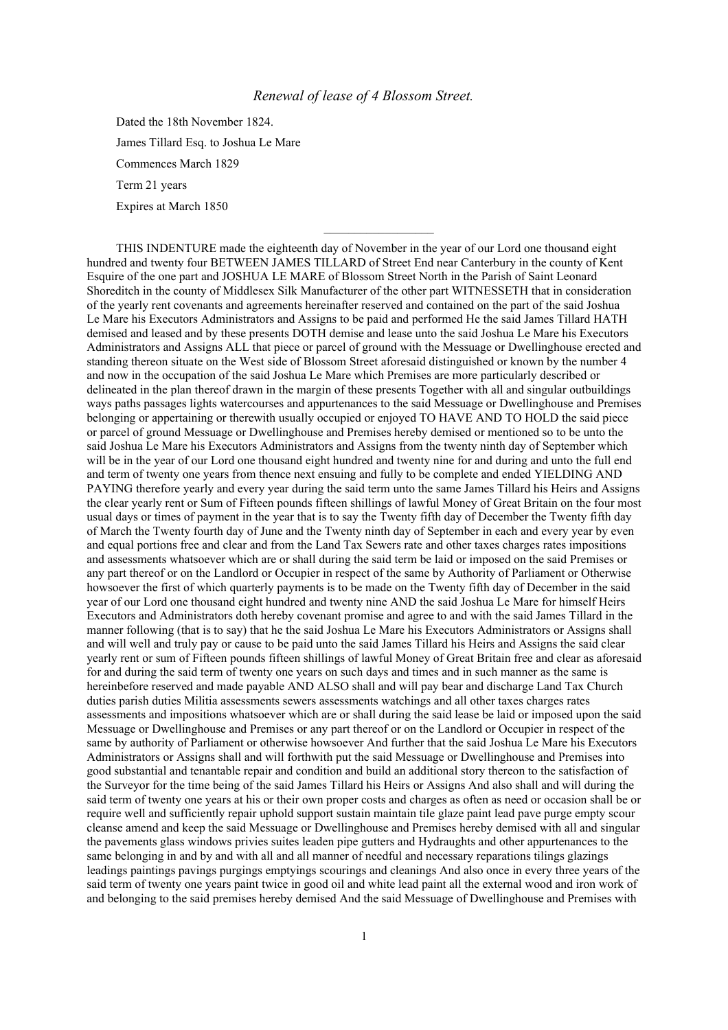## *Renewal of lease of 4 Blossom Street.*

 $\mathcal{L}_\text{max}$  , we have the set of the set of the set of the set of the set of the set of the set of the set of the set of the set of the set of the set of the set of the set of the set of the set of the set of the set of

Dated the 18th November 1824. James Tillard Esq. to Joshua Le Mare Commences March 1829 Term 21 years Expires at March 1850

THIS INDENTURE made the eighteenth day of November in the year of our Lord one thousand eight hundred and twenty four BETWEEN JAMES TILLARD of Street End near Canterbury in the county of Kent Esquire of the one part and JOSHUA LE MARE of Blossom Street North in the Parish of Saint Leonard Shoreditch in the county of Middlesex Silk Manufacturer of the other part WITNESSETH that in consideration of the yearly rent covenants and agreements hereinafter reserved and contained on the part of the said Joshua Le Mare his Executors Administrators and Assigns to be paid and performed He the said James Tillard HATH demised and leased and by these presents DOTH demise and lease unto the said Joshua Le Mare his Executors Administrators and Assigns ALL that piece or parcel of ground with the Messuage or Dwellinghouse erected and standing thereon situate on the West side of Blossom Street aforesaid distinguished or known by the number 4 and now in the occupation of the said Joshua Le Mare which Premises are more particularly described or delineated in the plan thereof drawn in the margin of these presents Together with all and singular outbuildings ways paths passages lights watercourses and appurtenances to the said Messuage or Dwellinghouse and Premises belonging or appertaining or therewith usually occupied or enjoyed TO HAVE AND TO HOLD the said piece or parcel of ground Messuage or Dwellinghouse and Premises hereby demised or mentioned so to be unto the said Joshua Le Mare his Executors Administrators and Assigns from the twenty ninth day of September which will be in the year of our Lord one thousand eight hundred and twenty nine for and during and unto the full end and term of twenty one years from thence next ensuing and fully to be complete and ended YIELDING AND PAYING therefore yearly and every year during the said term unto the same James Tillard his Heirs and Assigns the clear yearly rent or Sum of Fifteen pounds fifteen shillings of lawful Money of Great Britain on the four most usual days or times of payment in the year that is to say the Twenty fifth day of December the Twenty fifth day of March the Twenty fourth day of June and the Twenty ninth day of September in each and every year by even and equal portions free and clear and from the Land Tax Sewers rate and other taxes charges rates impositions and assessments whatsoever which are or shall during the said term be laid or imposed on the said Premises or any part thereof or on the Landlord or Occupier in respect of the same by Authority of Parliament or Otherwise howsoever the first of which quarterly payments is to be made on the Twenty fifth day of December in the said year of our Lord one thousand eight hundred and twenty nine AND the said Joshua Le Mare for himself Heirs Executors and Administrators doth hereby covenant promise and agree to and with the said James Tillard in the manner following (that is to say) that he the said Joshua Le Mare his Executors Administrators or Assigns shall and will well and truly pay or cause to be paid unto the said James Tillard his Heirs and Assigns the said clear yearly rent or sum of Fifteen pounds fifteen shillings of lawful Money of Great Britain free and clear as aforesaid for and during the said term of twenty one years on such days and times and in such manner as the same is hereinbefore reserved and made payable AND ALSO shall and will pay bear and discharge Land Tax Church duties parish duties Militia assessments sewers assessments watchings and all other taxes charges rates assessments and impositions whatsoever which are or shall during the said lease be laid or imposed upon the said Messuage or Dwellinghouse and Premises or any part thereof or on the Landlord or Occupier in respect of the same by authority of Parliament or otherwise howsoever And further that the said Joshua Le Mare his Executors Administrators or Assigns shall and will forthwith put the said Messuage or Dwellinghouse and Premises into good substantial and tenantable repair and condition and build an additional story thereon to the satisfaction of the Surveyor for the time being of the said James Tillard his Heirs or Assigns And also shall and will during the said term of twenty one years at his or their own proper costs and charges as often as need or occasion shall be or require well and sufficiently repair uphold support sustain maintain tile glaze paint lead pave purge empty scour cleanse amend and keep the said Messuage or Dwellinghouse and Premises hereby demised with all and singular the pavements glass windows privies suites leaden pipe gutters and Hydraughts and other appurtenances to the same belonging in and by and with all and all manner of needful and necessary reparations tilings glazings leadings paintings pavings purgings emptyings scourings and cleanings And also once in every three years of the said term of twenty one years paint twice in good oil and white lead paint all the external wood and iron work of and belonging to the said premises hereby demised And the said Messuage of Dwellinghouse and Premises with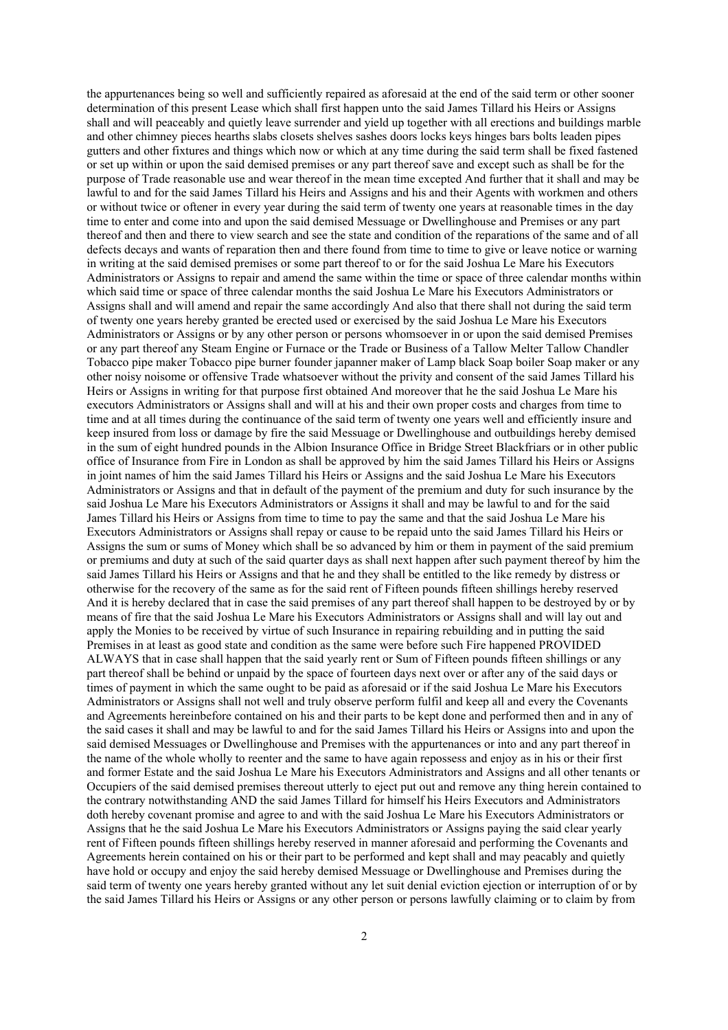the appurtenances being so well and sufficiently repaired as aforesaid at the end of the said term or other sooner determination of this present Lease which shall first happen unto the said James Tillard his Heirs or Assigns shall and will peaceably and quietly leave surrender and yield up together with all erections and buildings marble and other chimney pieces hearths slabs closets shelves sashes doors locks keys hinges bars bolts leaden pipes gutters and other fixtures and things which now or which at any time during the said term shall be fixed fastened or set up within or upon the said demised premises or any part thereof save and except such as shall be for the purpose of Trade reasonable use and wear thereof in the mean time excepted And further that it shall and may be lawful to and for the said James Tillard his Heirs and Assigns and his and their Agents with workmen and others or without twice or oftener in every year during the said term of twenty one years at reasonable times in the day time to enter and come into and upon the said demised Messuage or Dwellinghouse and Premises or any part thereof and then and there to view search and see the state and condition of the reparations of the same and of all defects decays and wants of reparation then and there found from time to time to give or leave notice or warning in writing at the said demised premises or some part thereof to or for the said Joshua Le Mare his Executors Administrators or Assigns to repair and amend the same within the time or space of three calendar months within which said time or space of three calendar months the said Joshua Le Mare his Executors Administrators or Assigns shall and will amend and repair the same accordingly And also that there shall not during the said term of twenty one years hereby granted be erected used or exercised by the said Joshua Le Mare his Executors Administrators or Assigns or by any other person or persons whomsoever in or upon the said demised Premises or any part thereof any Steam Engine or Furnace or the Trade or Business of a Tallow Melter Tallow Chandler Tobacco pipe maker Tobacco pipe burner founder japanner maker of Lamp black Soap boiler Soap maker or any other noisy noisome or offensive Trade whatsoever without the privity and consent of the said James Tillard his Heirs or Assigns in writing for that purpose first obtained And moreover that he the said Joshua Le Mare his executors Administrators or Assigns shall and will at his and their own proper costs and charges from time to time and at all times during the continuance of the said term of twenty one years well and efficiently insure and keep insured from loss or damage by fire the said Messuage or Dwellinghouse and outbuildings hereby demised in the sum of eight hundred pounds in the Albion Insurance Office in Bridge Street Blackfriars or in other public office of Insurance from Fire in London as shall be approved by him the said James Tillard his Heirs or Assigns in joint names of him the said James Tillard his Heirs or Assigns and the said Joshua Le Mare his Executors Administrators or Assigns and that in default of the payment of the premium and duty for such insurance by the said Joshua Le Mare his Executors Administrators or Assigns it shall and may be lawful to and for the said James Tillard his Heirs or Assigns from time to time to pay the same and that the said Joshua Le Mare his Executors Administrators or Assigns shall repay or cause to be repaid unto the said James Tillard his Heirs or Assigns the sum or sums of Money which shall be so advanced by him or them in payment of the said premium or premiums and duty at such of the said quarter days as shall next happen after such payment thereof by him the said James Tillard his Heirs or Assigns and that he and they shall be entitled to the like remedy by distress or otherwise for the recovery of the same as for the said rent of Fifteen pounds fifteen shillings hereby reserved And it is hereby declared that in case the said premises of any part thereof shall happen to be destroyed by or by means of fire that the said Joshua Le Mare his Executors Administrators or Assigns shall and will lay out and apply the Monies to be received by virtue of such Insurance in repairing rebuilding and in putting the said Premises in at least as good state and condition as the same were before such Fire happened PROVIDED ALWAYS that in case shall happen that the said yearly rent or Sum of Fifteen pounds fifteen shillings or any part thereof shall be behind or unpaid by the space of fourteen days next over or after any of the said days or times of payment in which the same ought to be paid as aforesaid or if the said Joshua Le Mare his Executors Administrators or Assigns shall not well and truly observe perform fulfil and keep all and every the Covenants and Agreements hereinbefore contained on his and their parts to be kept done and performed then and in any of the said cases it shall and may be lawful to and for the said James Tillard his Heirs or Assigns into and upon the said demised Messuages or Dwellinghouse and Premises with the appurtenances or into and any part thereof in the name of the whole wholly to reenter and the same to have again repossess and enjoy as in his or their first and former Estate and the said Joshua Le Mare his Executors Administrators and Assigns and all other tenants or Occupiers of the said demised premises thereout utterly to eject put out and remove any thing herein contained to the contrary notwithstanding AND the said James Tillard for himself his Heirs Executors and Administrators doth hereby covenant promise and agree to and with the said Joshua Le Mare his Executors Administrators or Assigns that he the said Joshua Le Mare his Executors Administrators or Assigns paying the said clear yearly rent of Fifteen pounds fifteen shillings hereby reserved in manner aforesaid and performing the Covenants and Agreements herein contained on his or their part to be performed and kept shall and may peacably and quietly have hold or occupy and enjoy the said hereby demised Messuage or Dwellinghouse and Premises during the said term of twenty one years hereby granted without any let suit denial eviction ejection or interruption of or by the said James Tillard his Heirs or Assigns or any other person or persons lawfully claiming or to claim by from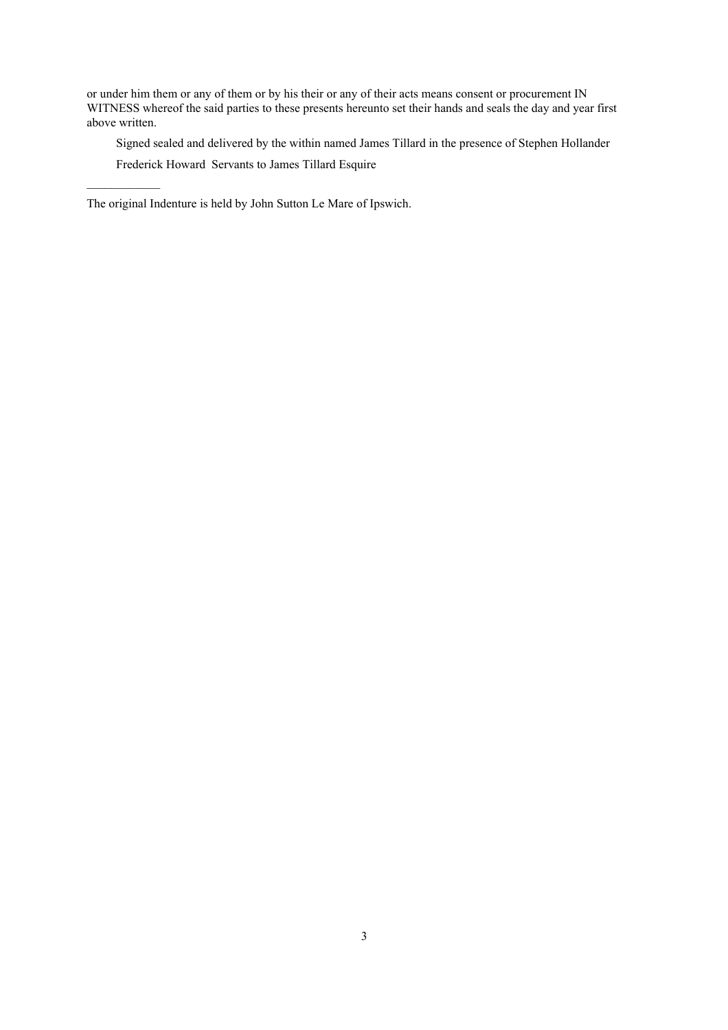or under him them or any of them or by his their or any of their acts means consent or procurement IN WITNESS whereof the said parties to these presents hereunto set their hands and seals the day and year first above written.

Signed sealed and delivered by the within named James Tillard in the presence of Stephen Hollander

Frederick Howard Servants to James Tillard Esquire

 $\mathcal{L}=\mathcal{L}^{\text{max}}$ 

The original Indenture is held by John Sutton Le Mare of Ipswich.